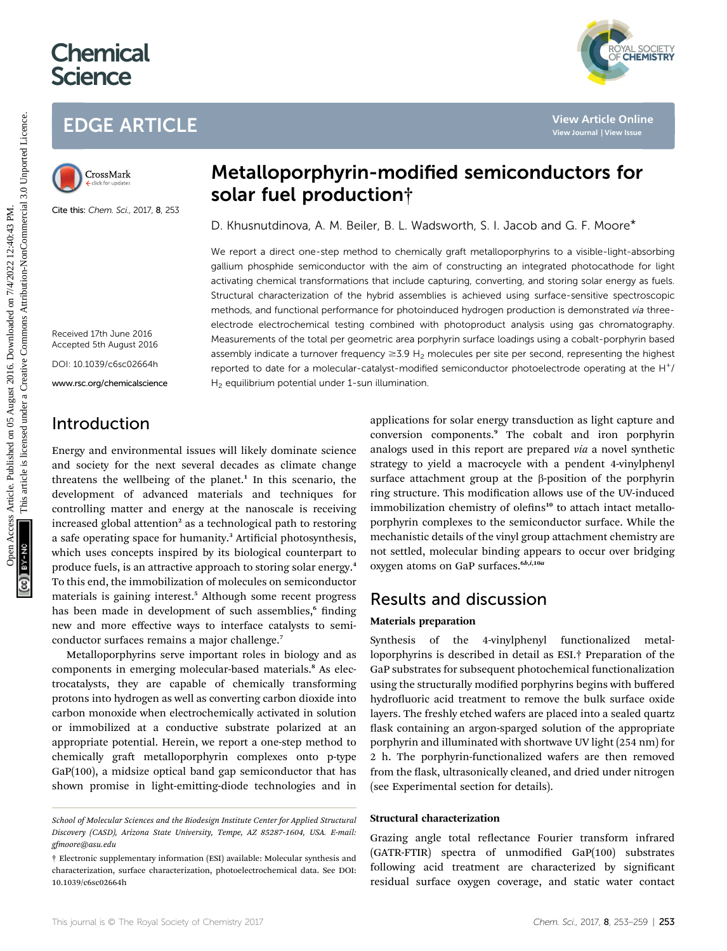# **Chemical Science**



Cite this: Chem. Sci., 2017, 8, 253

# Metalloporphyrin-modified semiconductors for solar fuel production†

D. Khusnutdinova, A. M. Beiler, B. L. Wadsworth, S. I. Jacob and G. F. Moore\*

We report a direct one-step method to chemically graft metalloporphyrins to a visible-light-absorbing gallium phosphide semiconductor with the aim of constructing an integrated photocathode for light activating chemical transformations that include capturing, converting, and storing solar energy as fuels. Structural characterization of the hybrid assemblies is achieved using surface-sensitive spectroscopic methods, and functional performance for photoinduced hydrogen production is demonstrated via threeelectrode electrochemical testing combined with photoproduct analysis using gas chromatography. Measurements of the total per geometric area porphyrin surface loadings using a cobalt-porphyrin based assembly indicate a turnover frequency  $\geq$ 3.9 H<sub>2</sub> molecules per site per second, representing the highest reported to date for a molecular-catalyst-modified semiconductor photoelectrode operating at the H+/  $H<sub>2</sub>$  equilibrium potential under 1-sun illumination. EDGE ARTICLE<br>
Metalloporphyrin-modified semiconductors for<br>
solar fuel production the state and the state and the state of the state of the state of the state of the state of the state of the state of the state of the stat

Received 17th June 2016 Accepted 5th August 2016

DOI: 10.1039/c6sc02664h

www.rsc.org/chemicalscience

## Introduction

Energy and environmental issues will likely dominate science and society for the next several decades as climate change threatens the wellbeing of the planet.<sup>1</sup> In this scenario, the development of advanced materials and techniques for controlling matter and energy at the nanoscale is receiving increased global attention<sup>2</sup> as a technological path to restoring a safe operating space for humanity.<sup>3</sup> Artificial photosynthesis, which uses concepts inspired by its biological counterpart to produce fuels, is an attractive approach to storing solar energy.<sup>4</sup> To this end, the immobilization of molecules on semiconductor materials is gaining interest.<sup>5</sup> Although some recent progress has been made in development of such assemblies,<sup>6</sup> finding new and more effective ways to interface catalysts to semiconductor surfaces remains a major challenge.<sup>7</sup>

Metalloporphyrins serve important roles in biology and as components in emerging molecular-based materials.<sup>8</sup> As electrocatalysts, they are capable of chemically transforming protons into hydrogen as well as converting carbon dioxide into carbon monoxide when electrochemically activated in solution or immobilized at a conductive substrate polarized at an appropriate potential. Herein, we report a one-step method to chemically graft metalloporphyrin complexes onto p-type GaP(100), a midsize optical band gap semiconductor that has shown promise in light-emitting-diode technologies and in

applications for solar energy transduction as light capture and conversion components.<sup>9</sup> The cobalt and iron porphyrin analogs used in this report are prepared via a novel synthetic strategy to yield a macrocycle with a pendent 4-vinylphenyl surface attachment group at the  $\beta$ -position of the porphyrin ring structure. This modification allows use of the UV-induced immobilization chemistry of olefins<sup>10</sup> to attach intact metalloporphyrin complexes to the semiconductor surface. While the mechanistic details of the vinyl group attachment chemistry are not settled, molecular binding appears to occur over bridging oxygen atoms on GaP surfaces.<sup>6b,i,10a</sup>

YAL SOCIETY<br>**CHEMISTRY** 

### Results and discussion

#### Materials preparation

Synthesis of the 4-vinylphenyl functionalized metalloporphyrins is described in detail as ESI.† Preparation of the GaP substrates for subsequent photochemical functionalization using the structurally modified porphyrins begins with buffered hydrofluoric acid treatment to remove the bulk surface oxide layers. The freshly etched wafers are placed into a sealed quartz flask containing an argon-sparged solution of the appropriate porphyrin and illuminated with shortwave UV light (254 nm) for 2 h. The porphyrin-functionalized wafers are then removed from the flask, ultrasonically cleaned, and dried under nitrogen (see Experimental section for details).

#### Structural characterization

Grazing angle total reflectance Fourier transform infrared (GATR-FTIR) spectra of unmodified GaP(100) substrates following acid treatment are characterized by significant residual surface oxygen coverage, and static water contact

School of Molecular Sciences and the Biodesign Institute Center for Applied Structural Discovery (CASD), Arizona State University, Tempe, AZ 85287-1604, USA. E-mail: gfmoore@asu.edu

<sup>†</sup> Electronic supplementary information (ESI) available: Molecular synthesis and characterization, surface characterization, photoelectrochemical data. See DOI: 10.1039/c6sc02664h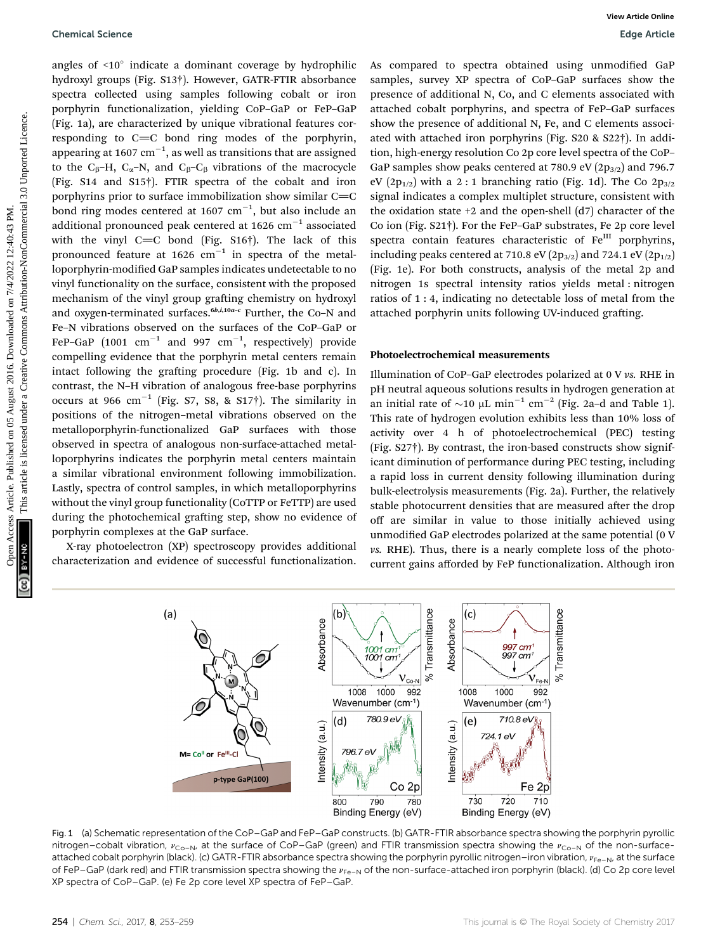angles of  $\leq 10^\circ$  indicate a dominant coverage by hydrophilic hydroxyl groups (Fig. S13†). However, GATR-FTIR absorbance spectra collected using samples following cobalt or iron porphyrin functionalization, yielding CoP–GaP or FeP–GaP (Fig. 1a), are characterized by unique vibrational features corresponding to  $C=C$  bond ring modes of the porphyrin, appearing at 1607  $\rm cm^{-1}$ , as well as transitions that are assigned to the C<sub>B</sub>–H, C<sub> $\alpha$ </sub>–N, and C<sub>B</sub>–C<sub>B</sub> vibrations of the macrocycle (Fig. S14 and S15†). FTIR spectra of the cobalt and iron porphyrins prior to surface immobilization show similar  $C=C$ bond ring modes centered at 1607  $\text{cm}^{-1}$ , but also include an additional pronounced peak centered at 1626  $cm^{-1}$  associated with the vinyl  $C=C$  bond (Fig. S16†). The lack of this pronounced feature at  $1626$  cm<sup>-1</sup> in spectra of the metalloporphyrin-modified GaP samples indicates undetectable to no vinyl functionality on the surface, consistent with the proposed mechanism of the vinyl group grafting chemistry on hydroxyl and oxygen-terminated surfaces. $6b$ , $6b$ , $10a-c$  Further, the Co–N and Fe–N vibrations observed on the surfaces of the CoP–GaP or FeP–GaP  $(1001 \text{ cm}^{-1}$  and 997  $\text{cm}^{-1}$ , respectively) provide compelling evidence that the porphyrin metal centers remain intact following the grafting procedure (Fig. 1b and c). In contrast, the N–H vibration of analogous free-base porphyrins occurs at 966  $cm^{-1}$  (Fig. S7, S8, & S17†). The similarity in positions of the nitrogen–metal vibrations observed on the metalloporphyrin-functionalized GaP surfaces with those observed in spectra of analogous non-surface-attached metalloporphyrins indicates the porphyrin metal centers maintain a similar vibrational environment following immobilization. Lastly, spectra of control samples, in which metalloporphyrins without the vinyl group functionality (CoTTP or FeTTP) are used during the photochemical grafting step, show no evidence of porphyrin complexes at the GaP surface. Chemical Science<br>
Suppose of -010 militaires a dominant onerance by hydrophilic As compared to spectra chiral monother common<br>
prophyrin functionalization, yielding (xer car Per Care articles) articles and spectra of ede-

X-ray photoelectron (XP) spectroscopy provides additional characterization and evidence of successful functionalization. As compared to spectra obtained using unmodified GaP samples, survey XP spectra of CoP–GaP surfaces show the presence of additional N, Co, and C elements associated with attached cobalt porphyrins, and spectra of FeP–GaP surfaces show the presence of additional N, Fe, and C elements associated with attached iron porphyrins (Fig. S20 & S22†). In addition, high-energy resolution Co 2p core level spectra of the CoP– GaP samples show peaks centered at 780.9 eV  $(2p_{3/2})$  and 796.7 eV (2 $p_{1/2}$ ) with a 2 : 1 branching ratio (Fig. 1d). The Co 2 $p_{3/2}$ signal indicates a complex multiplet structure, consistent with the oxidation state  $+2$  and the open-shell  $(d7)$  character of the Co ion (Fig. S21†). For the FeP–GaP substrates, Fe 2p core level spectra contain features characteristic of Fe<sup>III</sup> porphyrins, including peaks centered at 710.8 eV  $(2p_{3/2})$  and 724.1 eV  $(2p_{1/2})$ (Fig. 1e). For both constructs, analysis of the metal 2p and nitrogen 1s spectral intensity ratios yields metal : nitrogen ratios of 1 : 4, indicating no detectable loss of metal from the attached porphyrin units following UV-induced grafting.

#### Photoelectrochemical measurements

Illumination of CoP–GaP electrodes polarized at 0 V vs. RHE in pH neutral aqueous solutions results in hydrogen generation at an initial rate of  $\sim$ 10 µL min<sup>-1</sup> cm<sup>-2</sup> (Fig. 2a-d and Table 1). This rate of hydrogen evolution exhibits less than 10% loss of activity over 4 h of photoelectrochemical (PEC) testing (Fig. S27†). By contrast, the iron-based constructs show significant diminution of performance during PEC testing, including a rapid loss in current density following illumination during bulk-electrolysis measurements (Fig. 2a). Further, the relatively stable photocurrent densities that are measured after the drop off are similar in value to those initially achieved using unmodified GaP electrodes polarized at the same potential (0 V vs. RHE). Thus, there is a nearly complete loss of the photocurrent gains afforded by FeP functionalization. Although iron



Fig. 1 (a) Schematic representation of the CoP–GaP and FeP–GaP constructs. (b) GATR-FTIR absorbance spectra showing the porphyrin pyrollic nitrogen–cobalt vibration,  $v_{Co-N}$ , at the surface of CoP–GaP (green) and FTIR transmission spectra showing the  $v_{Co-N}$  of the non-surfaceattached cobalt porphyrin (black). (c) GATR-FTIR absorbance spectra showing the porphyrin pyrollic nitrogen–iron vibration,  $v_{Fe-N}$ , at the surface of FeP–GaP (dark red) and FTIR transmission spectra showing the  $v_{Fe-N}$  of the non-surface-attached iron porphyrin (black). (d) Co 2p core level XP spectra of CoP–GaP. (e) Fe 2p core level XP spectra of FeP–GaP.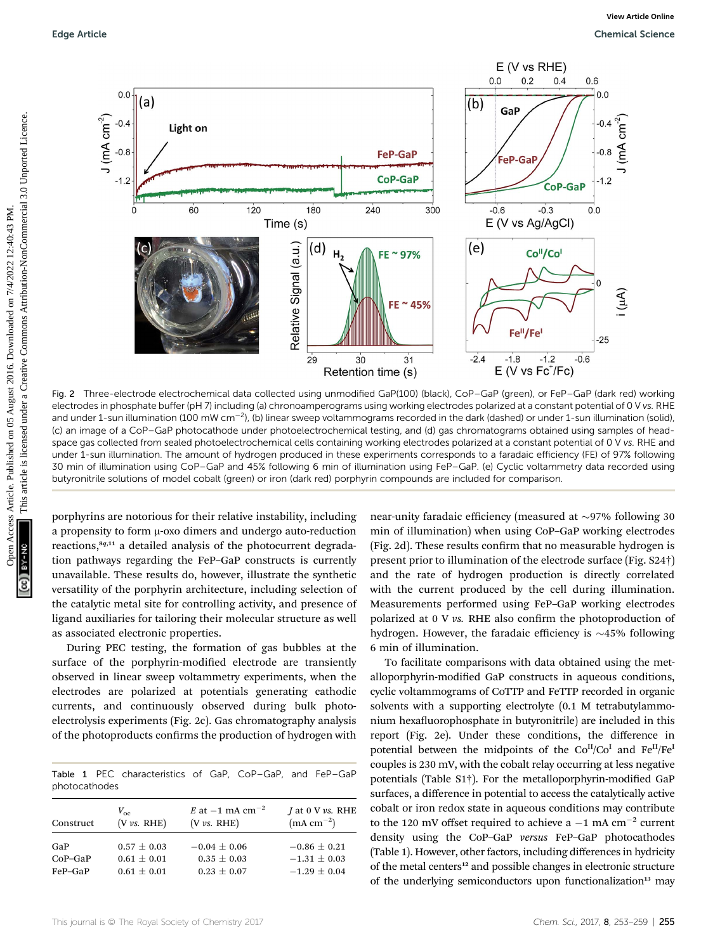

Fig. 2 Three-electrode electrochemical data collected using unmodified GaP(100) (black), CoP–GaP (green), or FeP–GaP (dark red) working electrodes in phosphate buffer (pH 7) including (a) chronoamperograms using working electrodes polarized at a constant potential of 0 V vs. RHE and under 1-sun illumination (100 mW cm<sup>–2</sup>), (b) linear sweep voltammograms recorded in the dark (dashed) or under 1-sun illumination (solid), (c) an image of a CoP–GaP photocathode under photoelectrochemical testing, and (d) gas chromatograms obtained using samples of headspace gas collected from sealed photoelectrochemical cells containing working electrodes polarized at a constant potential of 0 V vs. RHE and under 1-sun illumination. The amount of hydrogen produced in these experiments corresponds to a faradaic efficiency (FE) of 97% following 30 min of illumination using CoP–GaP and 45% following 6 min of illumination using FeP–GaP. (e) Cyclic voltammetry data recorded using butyronitrile solutions of model cobalt (green) or iron (dark red) porphyrin compounds are included for comparison.

porphyrins are notorious for their relative instability, including a propensity to form  $\mu$ -oxo dimers and undergo auto-reduction reactions,<sup>8q,11</sup> a detailed analysis of the photocurrent degradation pathways regarding the FeP–GaP constructs is currently unavailable. These results do, however, illustrate the synthetic versatility of the porphyrin architecture, including selection of the catalytic metal site for controlling activity, and presence of ligand auxiliaries for tailoring their molecular structure as well as associated electronic properties.

During PEC testing, the formation of gas bubbles at the surface of the porphyrin-modified electrode are transiently observed in linear sweep voltammetry experiments, when the electrodes are polarized at potentials generating cathodic currents, and continuously observed during bulk photoelectrolysis experiments (Fig. 2c). Gas chromatography analysis of the photoproducts confirms the production of hydrogen with

|               |  | Table 1 PEC characteristics of GaP. CoP-GaP. and FeP-GaP |  |  |  |
|---------------|--|----------------------------------------------------------|--|--|--|
| photocathodes |  |                                                          |  |  |  |

| Construct | $V_{\alpha}$     | E at $-1$ mA cm <sup>-2</sup> | <i>J</i> at 0 V $\nu s$ . RHE |
|-----------|------------------|-------------------------------|-------------------------------|
|           | $(V \nu s. RHE)$ | $(V \nu s. RHE)$              | $(mA cm^{-2})$                |
| GaP       | $0.57 + 0.03$    | $-0.04 \pm 0.06$              | $-0.86 \pm 0.21$              |
| $CoP-GaP$ | $0.61 + 0.01$    | $0.35 \pm 0.03$               | $-1.31 \pm 0.03$              |
| FeP-GaP   | $0.61 + 0.01$    | $0.23 \pm 0.07$               | $-1.29 + 0.04$                |

near-unity faradaic efficiency (measured at  $\sim$ 97% following 30 min of illumination) when using CoP–GaP working electrodes (Fig. 2d). These results confirm that no measurable hydrogen is present prior to illumination of the electrode surface (Fig. S24†) and the rate of hydrogen production is directly correlated with the current produced by the cell during illumination. Measurements performed using FeP–GaP working electrodes polarized at 0 V vs. RHE also confirm the photoproduction of hydrogen. However, the faradaic efficiency is  $\sim$ 45% following 6 min of illumination.

To facilitate comparisons with data obtained using the metalloporphyrin-modified GaP constructs in aqueous conditions, cyclic voltammograms of CoTTP and FeTTP recorded in organic solvents with a supporting electrolyte (0.1 M tetrabutylammonium hexafluorophosphate in butyronitrile) are included in this report (Fig. 2e). Under these conditions, the difference in potential between the midpoints of the  $Co<sup>H</sup>/Co<sup>I</sup>$  and  $Fe<sup>H</sup>/Fe<sup>I</sup>$ couples is 230 mV, with the cobalt relay occurring at less negative potentials (Table S1†). For the metalloporphyrin-modified GaP surfaces, a difference in potential to access the catalytically active cobalt or iron redox state in aqueous conditions may contribute to the 120 mV offset required to achieve a  $-1$  mA cm<sup>-2</sup> current density using the CoP–GaP versus FeP–GaP photocathodes (Table 1). However, other factors, including differences in hydricity of the metal centers<sup>12</sup> and possible changes in electronic structure of the underlying semiconductors upon functionalization<sup>13</sup> may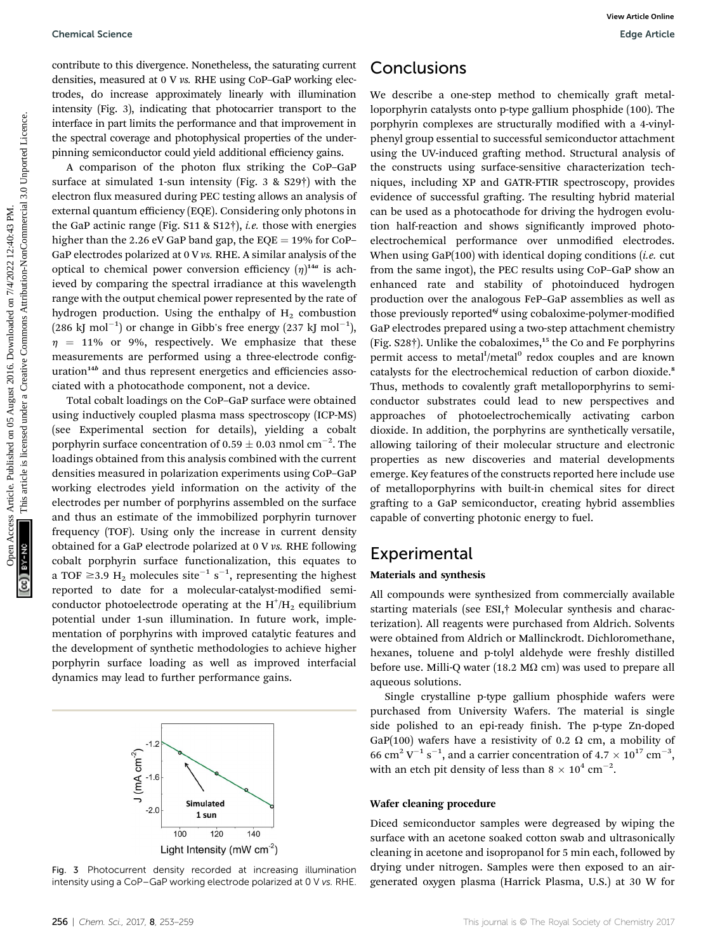contribute to this divergence. Nonetheless, the saturating current densities, measured at 0 V vs. RHE using CoP–GaP working electrodes, do increase approximately linearly with illumination intensity (Fig. 3), indicating that photocarrier transport to the interface in part limits the performance and that improvement in the spectral coverage and photophysical properties of the underpinning semiconductor could yield additional efficiency gains.

A comparison of the photon flux striking the CoP–GaP surface at simulated 1-sun intensity (Fig. 3 & S29†) with the electron flux measured during PEC testing allows an analysis of external quantum efficiency (EQE). Considering only photons in the GaP actinic range (Fig. S11 & S12†), i.e. those with energies higher than the 2.26 eV GaP band gap, the  $EQE = 19\%$  for CoP– GaP electrodes polarized at 0 V vs. RHE. A similar analysis of the optical to chemical power conversion efficiency  $(\eta)^{14a}$  is achieved by comparing the spectral irradiance at this wavelength range with the output chemical power represented by the rate of hydrogen production. Using the enthalpy of  $H<sub>2</sub>$  combustion  $(286 \text{ kJ mol}^{-1})$  or change in Gibb's free energy  $(237 \text{ kJ mol}^{-1})$ ,  $\eta$  = 11% or 9%, respectively. We emphasize that these measurements are performed using a three-electrode conguration<sup>14b</sup> and thus represent energetics and efficiencies associated with a photocathode component, not a device.

Total cobalt loadings on the CoP–GaP surface were obtained using inductively coupled plasma mass spectroscopy (ICP-MS) (see Experimental section for details), yielding a cobalt porphyrin surface concentration of 0.59  $\pm$  0.03 nmol cm<sup>-2</sup>. The loadings obtained from this analysis combined with the current densities measured in polarization experiments using CoP–GaP working electrodes yield information on the activity of the electrodes per number of porphyrins assembled on the surface and thus an estimate of the immobilized porphyrin turnover frequency (TOF). Using only the increase in current density obtained for a GaP electrode polarized at 0 V vs. RHE following cobalt porphyrin surface functionalization, this equates to a TOF  $\geq$ 3.9 H<sub>2</sub> molecules site $^{-1}$  s $^{-1}$ , representing the highest reported to date for a molecular-catalyst-modified semiconductor photoelectrode operating at the  $H^{\dagger}/H_2$  equilibrium potential under 1-sun illumination. In future work, implementation of porphyrins with improved catalytic features and the development of synthetic methodologies to achieve higher porphyrin surface loading as well as improved interfacial dynamics may lead to further performance gains.



Fig. 3 Photocurrent density recorded at increasing illumination intensity using a CoP–GaP working electrode polarized at 0 V vs. RHE.

### **Conclusions**

We describe a one-step method to chemically graft metalloporphyrin catalysts onto p-type gallium phosphide (100). The porphyrin complexes are structurally modified with a 4-vinylphenyl group essential to successful semiconductor attachment using the UV-induced grafting method. Structural analysis of the constructs using surface-sensitive characterization techniques, including XP and GATR-FTIR spectroscopy, provides evidence of successful grafting. The resulting hybrid material can be used as a photocathode for driving the hydrogen evolution half-reaction and shows significantly improved photoelectrochemical performance over unmodified electrodes. When using GaP $(100)$  with identical doping conditions *(i.e.* cut from the same ingot), the PEC results using CoP–GaP show an enhanced rate and stability of photoinduced hydrogen production over the analogous FeP–GaP assemblies as well as those previously reported<sup>6</sup> using cobaloxime-polymer-modified GaP electrodes prepared using a two-step attachment chemistry (Fig. S28†). Unlike the cobaloximes,<sup>15</sup> the Co and Fe porphyrins permit access to metal<sup>I</sup>/metal<sup>0</sup> redox couples and are known catalysts for the electrochemical reduction of carbon dioxide.<sup>8</sup> Thus, methods to covalently graft metalloporphyrins to semiconductor substrates could lead to new perspectives and approaches of photoelectrochemically activating carbon dioxide. In addition, the porphyrins are synthetically versatile, allowing tailoring of their molecular structure and electronic properties as new discoveries and material developments emerge. Key features of the constructs reported here include use of metalloporphyrins with built-in chemical sites for direct grafting to a GaP semiconductor, creating hybrid assemblies capable of converting photonic energy to fuel. Chemical Science<br>
contribution the view Article of View Articles. This are the three proposes are the spectral on the spectral on the spectral on the spectral on the spectral on the spectral on the spectral control on the

### **Experimental**

#### Materials and synthesis

All compounds were synthesized from commercially available starting materials (see ESI,† Molecular synthesis and characterization). All reagents were purchased from Aldrich. Solvents were obtained from Aldrich or Mallinckrodt. Dichloromethane, hexanes, toluene and p-tolyl aldehyde were freshly distilled before use. Milli-Q water (18.2 M $\Omega$  cm) was used to prepare all aqueous solutions.

Single crystalline p-type gallium phosphide wafers were purchased from University Wafers. The material is single side polished to an epi-ready finish. The p-type Zn-doped GaP(100) wafers have a resistivity of 0.2  $\Omega$  cm, a mobility of 66 cm<sup>2</sup> V<sup>-1</sup> s<sup>-1</sup>, and a carrier concentration of  $4.7 \times 10^{17}$  cm<sup>-3</sup>, with an etch pit density of less than  $8 \times 10^4$  cm<sup>-2</sup>.

#### Wafer cleaning procedure

Diced semiconductor samples were degreased by wiping the surface with an acetone soaked cotton swab and ultrasonically cleaning in acetone and isopropanol for 5 min each, followed by drying under nitrogen. Samples were then exposed to an airgenerated oxygen plasma (Harrick Plasma, U.S.) at 30 W for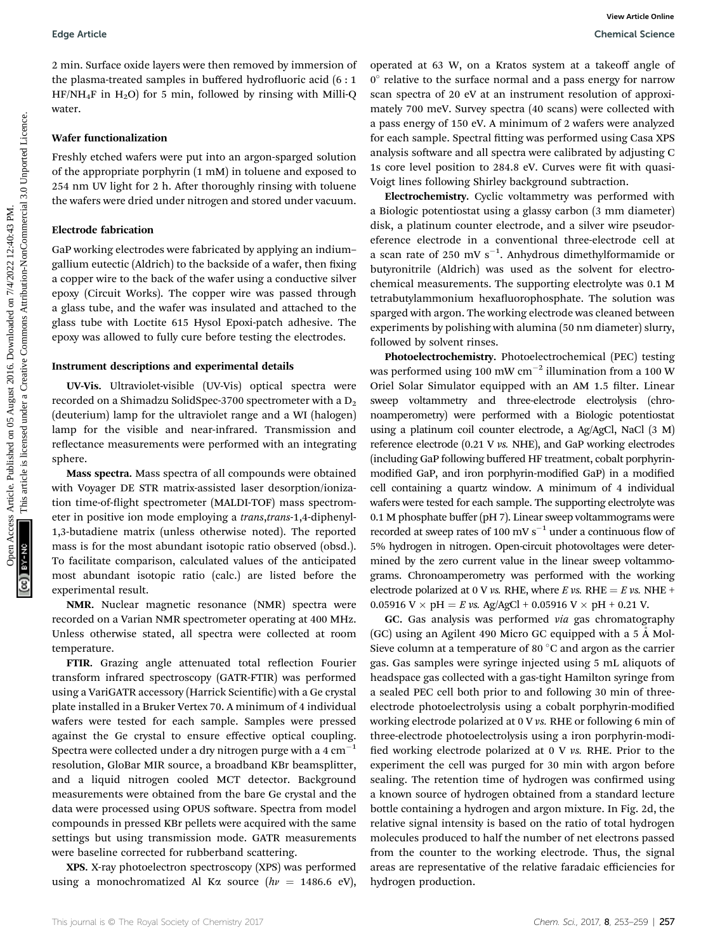2 min. Surface oxide layers were then removed by immersion of the plasma-treated samples in buffered hydrofluoric acid  $(6:1)$  $HF/NH_4F$  in  $H_2O$ ) for 5 min, followed by rinsing with Milli-Q water.

#### Wafer functionalization

Freshly etched wafers were put into an argon-sparged solution of the appropriate porphyrin (1 mM) in toluene and exposed to 254 nm UV light for 2 h. After thoroughly rinsing with toluene the wafers were dried under nitrogen and stored under vacuum.

### Electrode fabrication

GaP working electrodes were fabricated by applying an indium– gallium eutectic (Aldrich) to the backside of a wafer, then fixing a copper wire to the back of the wafer using a conductive silver epoxy (Circuit Works). The copper wire was passed through a glass tube, and the wafer was insulated and attached to the glass tube with Loctite 615 Hysol Epoxi-patch adhesive. The epoxy was allowed to fully cure before testing the electrodes.

#### Instrument descriptions and experimental details

UV-Vis. Ultraviolet-visible (UV-Vis) optical spectra were recorded on a Shimadzu SolidSpec-3700 spectrometer with a  $D_2$ (deuterium) lamp for the ultraviolet range and a WI (halogen) lamp for the visible and near-infrared. Transmission and reflectance measurements were performed with an integrating sphere.

Mass spectra. Mass spectra of all compounds were obtained with Voyager DE STR matrix-assisted laser desorption/ionization time-of-flight spectrometer (MALDI-TOF) mass spectrometer in positive ion mode employing a trans, trans-1,4-diphenyl-1,3-butadiene matrix (unless otherwise noted). The reported mass is for the most abundant isotopic ratio observed (obsd.). To facilitate comparison, calculated values of the anticipated most abundant isotopic ratio (calc.) are listed before the experimental result.

NMR. Nuclear magnetic resonance (NMR) spectra were recorded on a Varian NMR spectrometer operating at 400 MHz. Unless otherwise stated, all spectra were collected at room temperature.

FTIR. Grazing angle attenuated total reflection Fourier transform infrared spectroscopy (GATR-FTIR) was performed using a VariGATR accessory (Harrick Scientific) with a Ge crystal plate installed in a Bruker Vertex 70. A minimum of 4 individual wafers were tested for each sample. Samples were pressed against the Ge crystal to ensure effective optical coupling. Spectra were collected under a dry nitrogen purge with a  $4 \text{ cm}^{-1}$ resolution, GloBar MIR source, a broadband KBr beamsplitter, and a liquid nitrogen cooled MCT detector. Background measurements were obtained from the bare Ge crystal and the data were processed using OPUS software. Spectra from model compounds in pressed KBr pellets were acquired with the same settings but using transmission mode. GATR measurements were baseline corrected for rubberband scattering.

XPS. X-ray photoelectron spectroscopy (XPS) was performed using a monochromatized Al Ka source ( $hv = 1486.6$  eV),

operated at 63 W, on a Kratos system at a takeoff angle of  $0^{\circ}$  relative to the surface normal and a pass energy for narrow scan spectra of 20 eV at an instrument resolution of approximately 700 meV. Survey spectra (40 scans) were collected with a pass energy of 150 eV. A minimum of 2 wafers were analyzed for each sample. Spectral fitting was performed using Casa XPS analysis software and all spectra were calibrated by adjusting C 1s core level position to 284.8 eV. Curves were fit with quasi-Voigt lines following Shirley background subtraction.

Electrochemistry. Cyclic voltammetry was performed with a Biologic potentiostat using a glassy carbon (3 mm diameter) disk, a platinum counter electrode, and a silver wire pseudoreference electrode in a conventional three-electrode cell at a scan rate of 250 mV  $s^{-1}$ . Anhydrous dimethylformamide or butyronitrile (Aldrich) was used as the solvent for electrochemical measurements. The supporting electrolyte was 0.1 M tetrabutylammonium hexafluorophosphate. The solution was sparged with argon. The working electrode was cleaned between experiments by polishing with alumina (50 nm diameter) slurry, followed by solvent rinses.

Photoelectrochemistry. Photoelectrochemical (PEC) testing was performed using 100 mW  $cm^{-2}$  illumination from a 100 W Oriel Solar Simulator equipped with an AM 1.5 filter. Linear sweep voltammetry and three-electrode electrolysis (chronoamperometry) were performed with a Biologic potentiostat using a platinum coil counter electrode, a Ag/AgCl, NaCl (3 M) reference electrode (0.21 V vs. NHE), and GaP working electrodes (including GaP following buffered HF treatment, cobalt porphyrinmodified GaP, and iron porphyrin-modified GaP) in a modified cell containing a quartz window. A minimum of 4 individual wafers were tested for each sample. The supporting electrolyte was 0.1 M phosphate buffer (pH 7). Linear sweep voltammograms were recorded at sweep rates of 100 mV  $s^{-1}$  under a continuous flow of 5% hydrogen in nitrogen. Open-circuit photovoltages were determined by the zero current value in the linear sweep voltammograms. Chronoamperometry was performed with the working electrode polarized at 0 V vs. RHE, where E vs. RHE = E vs. NHE + 0.05916 V  $\times$  pH = E vs. Ag/AgCl + 0.05916 V  $\times$  pH + 0.21 V. Edge Article<br>
2016. Similar collective on the fubrical control of the state of the state of the state of the state of the state of the state of the state of the state of the state of the state of the state of the state of

> GC. Gas analysis was performed via gas chromatography (GC) using an Agilent 490 Micro GC equipped with a  $5 \text{ Å}$  Mol-Sieve column at a temperature of 80 $\degree$ C and argon as the carrier gas. Gas samples were syringe injected using 5 mL aliquots of headspace gas collected with a gas-tight Hamilton syringe from a sealed PEC cell both prior to and following 30 min of threeelectrode photoelectrolysis using a cobalt porphyrin-modified working electrode polarized at 0 V vs. RHE or following 6 min of three-electrode photoelectrolysis using a iron porphyrin-modi fied working electrode polarized at  $0 \nabla$  vs. RHE. Prior to the experiment the cell was purged for 30 min with argon before sealing. The retention time of hydrogen was confirmed using a known source of hydrogen obtained from a standard lecture bottle containing a hydrogen and argon mixture. In Fig. 2d, the relative signal intensity is based on the ratio of total hydrogen molecules produced to half the number of net electrons passed from the counter to the working electrode. Thus, the signal areas are representative of the relative faradaic efficiencies for hydrogen production.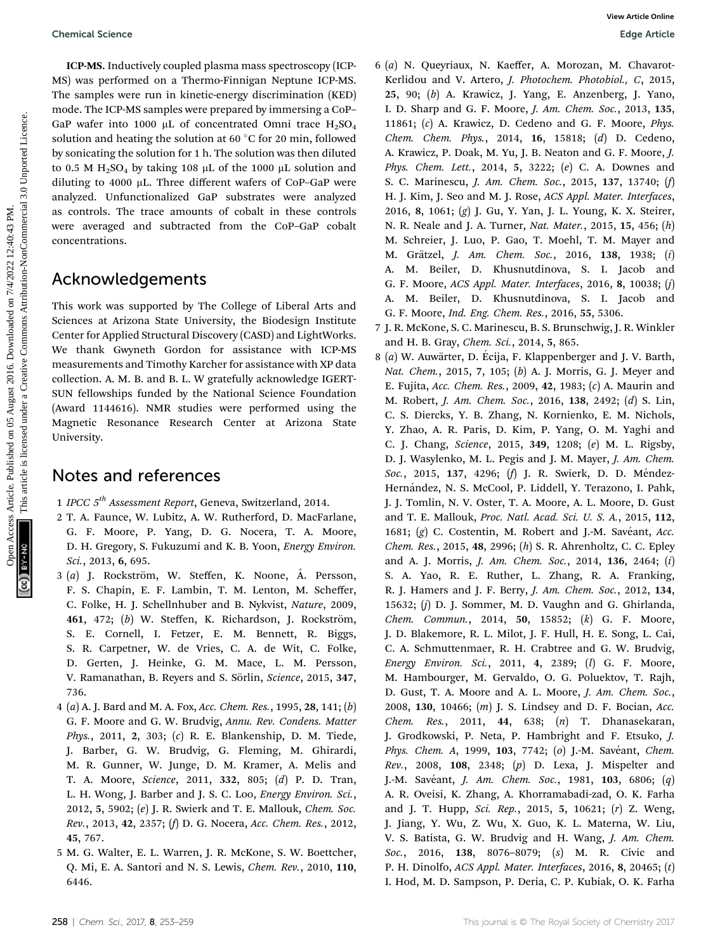ICP-MS. Inductively coupled plasma mass spectroscopy (ICP-MS) was performed on a Thermo-Finnigan Neptune ICP-MS. The samples were run in kinetic-energy discrimination (KED) mode. The ICP-MS samples were prepared by immersing a CoP– GaP wafer into 1000 µL of concentrated Omni trace  $H_2SO_4$ solution and heating the solution at 60  $\degree$ C for 20 min, followed by sonicating the solution for 1 h. The solution was then diluted to 0.5 M  $H_2SO_4$  by taking 108 µL of the 1000 µL solution and diluting to 4000  $\mu$ L. Three different wafers of CoP–GaP were analyzed. Unfunctionalized GaP substrates were analyzed as controls. The trace amounts of cobalt in these controls were averaged and subtracted from the CoP–GaP cobalt

### Acknowledgements

concentrations.

This work was supported by The College of Liberal Arts and Sciences at Arizona State University, the Biodesign Institute Center for Applied Structural Discovery (CASD) and LightWorks. We thank Gwyneth Gordon for assistance with ICP-MS measurements and Timothy Karcher for assistance with XP data collection. A. M. B. and B. L. W gratefully acknowledge IGERT-SUN fellowships funded by the National Science Foundation (Award 1144616). NMR studies were performed using the Magnetic Resonance Research Center at Arizona State University.

### Notes and references

- 1 IPCC 5<sup>th</sup> Assessment Report, Geneva, Switzerland, 2014.
- 2 T. A. Faunce, W. Lubitz, A. W. Rutherford, D. MacFarlane, G. F. Moore, P. Yang, D. G. Nocera, T. A. Moore, D. H. Gregory, S. Fukuzumi and K. B. Yoon, Energy Environ. Sci., 2013, 6, 695.
- $3$  (a) J. Rockström, W. Steffen, K. Noone, A. Persson, F. S. Chapin, E. F. Lambin, T. M. Lenton, M. Scheffer, C. Folke, H. J. Schellnhuber and B. Nykvist, Nature, 2009, 461, 472; (b) W. Steffen, K. Richardson, J. Rockström, S. E. Cornell, I. Fetzer, E. M. Bennett, R. Biggs, S. R. Carpetner, W. de Vries, C. A. de Wit, C. Folke, D. Gerten, J. Heinke, G. M. Mace, L. M. Persson, V. Ramanathan, B. Reyers and S. Sörlin, Science, 2015, 347, 736.
- 4 (a) A. J. Bard and M. A. Fox, Acc. Chem. Res., 1995, 28, 141; (b) G. F. Moore and G. W. Brudvig, Annu. Rev. Condens. Matter Phys., 2011, 2, 303; (c) R. E. Blankenship, D. M. Tiede, J. Barber, G. W. Brudvig, G. Fleming, M. Ghirardi, M. R. Gunner, W. Junge, D. M. Kramer, A. Melis and T. A. Moore, Science, 2011, 332, 805; (d) P. D. Tran, L. H. Wong, J. Barber and J. S. C. Loo, Energy Environ. Sci., 2012, 5, 5902; (e) J. R. Swierk and T. E. Mallouk, Chem. Soc. Rev., 2013, 42, 2357; (f) D. G. Nocera, Acc. Chem. Res., 2012, 45, 767.
- 5 M. G. Walter, E. L. Warren, J. R. McKone, S. W. Boettcher, Q. Mi, E. A. Santori and N. S. Lewis, Chem. Rev., 2010, 110, 6446.
- 6 (a) N. Queyriaux, N. Kaeffer, A. Morozan, M. Chavarot-Kerlidou and V. Artero, J. Photochem. Photobiol., C, 2015, 25, 90; (b) A. Krawicz, J. Yang, E. Anzenberg, J. Yano, I. D. Sharp and G. F. Moore, J. Am. Chem. Soc., 2013, 135, 11861; (c) A. Krawicz, D. Cedeno and G. F. Moore, Phys. Chem. Chem. Phys., 2014, 16, 15818; (d) D. Cedeno, A. Krawicz, P. Doak, M. Yu, J. B. Neaton and G. F. Moore, J. Phys. Chem. Lett., 2014, 5, 3222; (e) C. A. Downes and S. C. Marinescu, J. Am. Chem. Soc., 2015, 137, 13740; (f) H. J. Kim, J. Seo and M. J. Rose, ACS Appl. Mater. Interfaces, 2016, 8, 1061; (g) J. Gu, Y. Yan, J. L. Young, K. X. Steirer, N. R. Neale and J. A. Turner, Nat. Mater., 2015, 15, 456; (h) M. Schreier, J. Luo, P. Gao, T. Moehl, T. M. Mayer and M. Grätzel, *J. Am. Chem. Soc.*, 2016, 138, 1938; (i) A. M. Beiler, D. Khusnutdinova, S. I. Jacob and G. F. Moore, ACS Appl. Mater. Interfaces, 2016, 8, 10038; (j) A. M. Beiler, D. Khusnutdinova, S. I. Jacob and G. F. Moore, Ind. Eng. Chem. Res., 2016, 55, 5306. Openical Science<br>
ICP-WAS Irreduction on 3 Irlenesia Negative Common COD: Common Mechanism Negative Common Mechanism Negative Common Common Common Common Common Common Common Common Common Common Common Common Common Commo
	- 7 J. R. McKone, S. C. Marinescu, B. S. Brunschwig, J. R. Winkler and H. B. Gray, Chem. Sci., 2014, 5, 865.
	- 8 (a) W. Auwärter, D. Écija, F. Klappenberger and J. V. Barth, Nat. Chem., 2015, 7, 105; (b) A. J. Morris, G. J. Meyer and E. Fujita, Acc. Chem. Res., 2009, 42, 1983; (c) A. Maurin and M. Robert, J. Am. Chem. Soc., 2016, 138, 2492; (d) S. Lin, C. S. Diercks, Y. B. Zhang, N. Kornienko, E. M. Nichols, Y. Zhao, A. R. Paris, D. Kim, P. Yang, O. M. Yaghi and C. J. Chang, Science, 2015, 349, 1208; (e) M. L. Rigsby, D. J. Wasylenko, M. L. Pegis and J. M. Mayer, J. Am. Chem. Soc., 2015, 137, 4296; (f) J. R. Swierk, D. D. Méndez-Hernández, N. S. McCool, P. Liddell, Y. Terazono, I. Pahk, J. J. Tomlin, N. V. Oster, T. A. Moore, A. L. Moore, D. Gust and T. E. Mallouk, Proc. Natl. Acad. Sci. U. S. A., 2015, 112, 1681;  $(g)$  C. Costentin, M. Robert and J.-M. Savéant, Acc. Chem. Res., 2015, 48, 2996; (h) S. R. Ahrenholtz, C. C. Epley and A. J. Morris, J. Am. Chem. Soc., 2014, 136, 2464; (i) S. A. Yao, R. E. Ruther, L. Zhang, R. A. Franking, R. J. Hamers and J. F. Berry, J. Am. Chem. Soc., 2012, 134, 15632; (j) D. J. Sommer, M. D. Vaughn and G. Ghirlanda, Chem. Commun., 2014, 50, 15852; (k) G. F. Moore, J. D. Blakemore, R. L. Milot, J. F. Hull, H. E. Song, L. Cai, C. A. Schmuttenmaer, R. H. Crabtree and G. W. Brudvig, Energy Environ. Sci., 2011, 4, 2389; (l) G. F. Moore, M. Hambourger, M. Gervaldo, O. G. Poluektov, T. Rajh, D. Gust, T. A. Moore and A. L. Moore, J. Am. Chem. Soc., 2008, 130, 10466; (m) J. S. Lindsey and D. F. Bocian, Acc. Chem. Res., 2011, 44, 638; (n) T. Dhanasekaran, J. Grodkowski, P. Neta, P. Hambright and F. Etsuko, J. Phys. Chem. A, 1999, 103, 7742; (o) J.-M. Savéant, Chem. Rev., 2008, 108, 2348; (p) D. Lexa, J. Mispelter and J.-M. Savéant, *J. Am. Chem. Soc.*, 1981, 103, 6806; (q) A. R. Oveisi, K. Zhang, A. Khorramabadi-zad, O. K. Farha and J. T. Hupp, Sci. Rep., 2015, 5, 10621; (r) Z. Weng, J. Jiang, Y. Wu, Z. Wu, X. Guo, K. L. Materna, W. Liu, V. S. Batista, G. W. Brudvig and H. Wang, J. Am. Chem. Soc., 2016, 138, 8076–8079; (s) M. R. Civic and P. H. Dinolfo, ACS Appl. Mater. Interfaces, 2016, 8, 20465; (t) I. Hod, M. D. Sampson, P. Deria, C. P. Kubiak, O. K. Farha